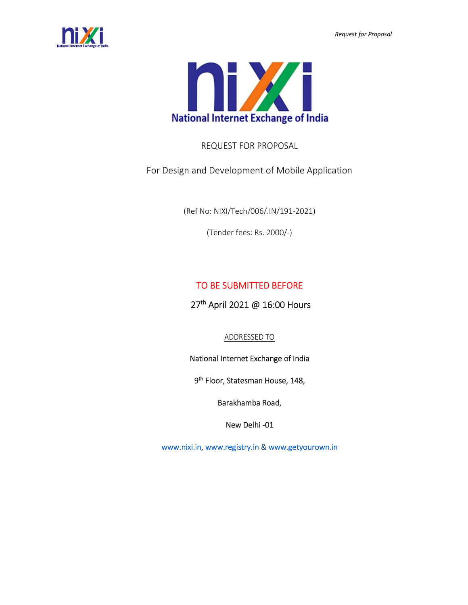



# REQUEST FOR PROPOSAL

For Design and Development of Mobile Application

(Ref No: NIXI/Tech/006/.IN/191-2021)

(Tender fees: Rs. 2000/-)

# TO BE SUBMITTED BEFORE

# 27<sup>th</sup> April 2021 @ 16:00 Hours

# ADDRESSED TO

# National Internet Exchange of India

# 9<sup>th</sup> Floor, Statesman House, 148,

Barakhamba Road,

New Delhi -01

www.nixi.in, www.registry.in & www.getyourown.in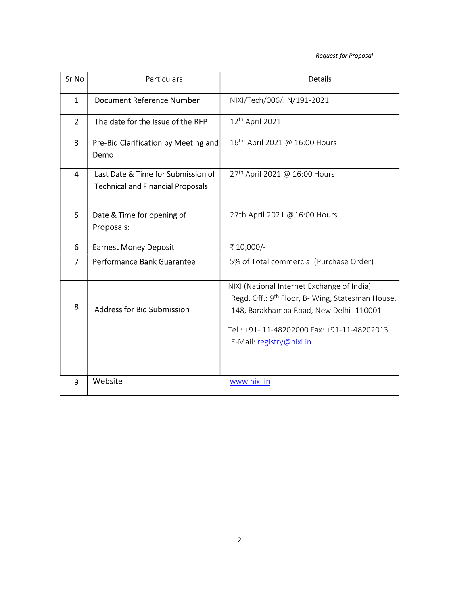| Sr No          | <b>Particulars</b>                                                             | <b>Details</b>                                                                                                                                                                                                                 |
|----------------|--------------------------------------------------------------------------------|--------------------------------------------------------------------------------------------------------------------------------------------------------------------------------------------------------------------------------|
| $\mathbf{1}$   | <b>Document Reference Number</b>                                               | NIXI/Tech/006/.IN/191-2021                                                                                                                                                                                                     |
| $\overline{2}$ | The date for the Issue of the RFP                                              | $12th$ April 2021                                                                                                                                                                                                              |
| $\overline{3}$ | Pre-Bid Clarification by Meeting and<br>Demo                                   | 16 <sup>th</sup> April 2021 @ 16:00 Hours                                                                                                                                                                                      |
| $\overline{4}$ | Last Date & Time for Submission of<br><b>Technical and Financial Proposals</b> | 27 <sup>th</sup> April 2021 @ 16:00 Hours                                                                                                                                                                                      |
| 5              | Date & Time for opening of<br>Proposals:                                       | 27th April 2021 @16:00 Hours                                                                                                                                                                                                   |
| 6              | <b>Earnest Money Deposit</b>                                                   | ₹ 10,000/-                                                                                                                                                                                                                     |
| 7              | Performance Bank Guarantee                                                     | 5% of Total commercial (Purchase Order)                                                                                                                                                                                        |
| 8              | <b>Address for Bid Submission</b>                                              | NIXI (National Internet Exchange of India)<br>Regd. Off.: 9 <sup>th</sup> Floor, B- Wing, Statesman House,<br>148, Barakhamba Road, New Delhi-110001<br>Tel.: +91-11-48202000 Fax: +91-11-48202013<br>E-Mail: registry@nixi.in |
| 9              | Website                                                                        | www.nixi.in                                                                                                                                                                                                                    |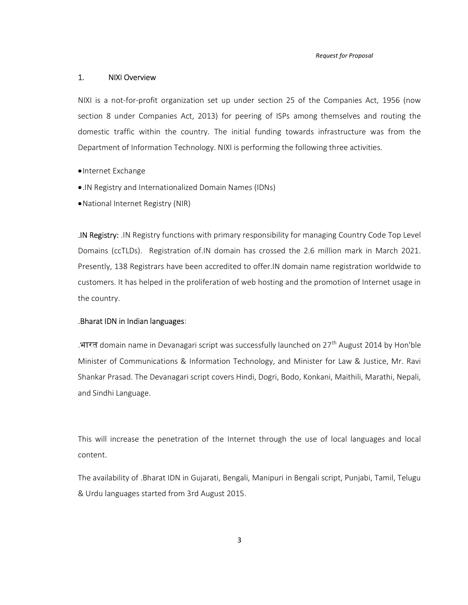#### 1. NIXI Overview

NIXI is a not-for-profit organization set up under section 25 of the Companies Act, 1956 (now section 8 under Companies Act, 2013) for peering of ISPs among themselves and routing the domestic traffic within the country. The initial funding towards infrastructure was from the Department of Information Technology. NIXI is performing the following three activities.

- Internet Exchange
- .IN Registry and Internationalized Domain Names (IDNs)
- National Internet Registry (NIR)

.IN Registry: .IN Registry functions with primary responsibility for managing Country Code Top Level Domains (ccTLDs). Registration of.IN domain has crossed the 2.6 million mark in March 2021. Presently, 138 Registrars have been accredited to offer.IN domain name registration worldwide to customers. It has helped in the proliferation of web hosting and the promotion of Internet usage in the country.

#### .Bharat IDN in Indian languages:

.भारत domain name in Devanagari script was successfully launched on 27th August 2014 by Hon'ble Minister of Communications & Information Technology, and Minister for Law & Justice, Mr. Ravi Shankar Prasad. The Devanagari script covers Hindi, Dogri, Bodo, Konkani, Maithili, Marathi, Nepali, and Sindhi Language.

This will increase the penetration of the Internet through the use of local languages and local content.

The availability of .Bharat IDN in Gujarati, Bengali, Manipuri in Bengali script, Punjabi, Tamil, Telugu & Urdu languages started from 3rd August 2015.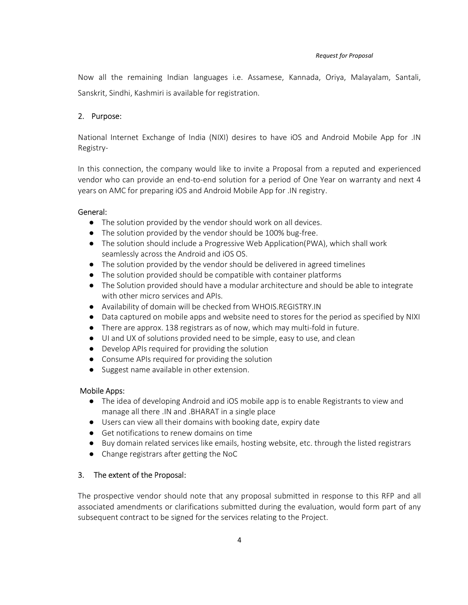Now all the remaining Indian languages i.e. Assamese, Kannada, Oriya, Malayalam, Santali, Sanskrit, Sindhi, Kashmiri is available for registration.

## 2. Purpose:

National Internet Exchange of India (NIXI) desires to have iOS and Android Mobile App for .IN Registry-

In this connection, the company would like to invite a Proposal from a reputed and experienced vendor who can provide an end-to-end solution for a period of One Year on warranty and next 4 years on AMC for preparing iOS and Android Mobile App for .IN registry.

#### General:

- The solution provided by the vendor should work on all devices.
- The solution provided by the vendor should be 100% bug-free.
- The solution should include a Progressive Web Application(PWA), which shall work seamlessly across the Android and iOS OS.
- The solution provided by the vendor should be delivered in agreed timelines
- The solution provided should be compatible with container platforms
- The Solution provided should have a modular architecture and should be able to integrate with other micro services and APIs.
- Availability of domain will be checked from WHOIS.REGISTRY.IN
- Data captured on mobile apps and website need to stores for the period as specified by NIXI
- There are approx. 138 registrars as of now, which may multi-fold in future.
- UI and UX of solutions provided need to be simple, easy to use, and clean
- Develop APIs required for providing the solution
- Consume APIs required for providing the solution
- Suggest name available in other extension.

#### Mobile Apps:

- The idea of developing Android and iOS mobile app is to enable Registrants to view and manage all there .IN and .BHARAT in a single place
- Users can view all their domains with booking date, expiry date
- Get notifications to renew domains on time
- Buy domain related services like emails, hosting website, etc. through the listed registrars
- Change registrars after getting the NoC

## 3. The extent of the Proposal:

The prospective vendor should note that any proposal submitted in response to this RFP and all associated amendments or clarifications submitted during the evaluation, would form part of any subsequent contract to be signed for the services relating to the Project.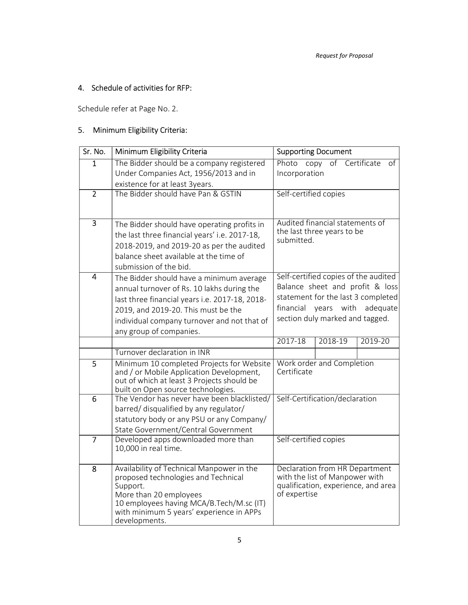# 4. Schedule of activities for RFP:

Schedule refer at Page No. 2.

# 5. Minimum Eligibility Criteria:

| Sr. No.        | Minimum Eligibility Criteria                                                           | <b>Supporting Document</b>             |  |  |  |
|----------------|----------------------------------------------------------------------------------------|----------------------------------------|--|--|--|
| $\overline{1}$ | The Bidder should be a company registered                                              | Photo copy of Certificate<br>of        |  |  |  |
|                | Under Companies Act, 1956/2013 and in                                                  | Incorporation                          |  |  |  |
|                | existence for at least 3years.                                                         |                                        |  |  |  |
| $\overline{2}$ | The Bidder should have Pan & GSTIN                                                     | Self-certified copies                  |  |  |  |
|                |                                                                                        |                                        |  |  |  |
| $\overline{3}$ | The Bidder should have operating profits in                                            | Audited financial statements of        |  |  |  |
|                | the last three financial years' i.e. 2017-18,                                          | the last three years to be             |  |  |  |
|                | 2018-2019, and 2019-20 as per the audited                                              | submitted.                             |  |  |  |
|                | balance sheet available at the time of                                                 |                                        |  |  |  |
|                | submission of the bid.                                                                 |                                        |  |  |  |
| $\overline{4}$ | The Bidder should have a minimum average                                               | Self-certified copies of the audited   |  |  |  |
|                | annual turnover of Rs. 10 lakhs during the                                             | Balance sheet and profit & loss        |  |  |  |
|                | last three financial years i.e. 2017-18, 2018-                                         | statement for the last 3 completed     |  |  |  |
|                | 2019, and 2019-20. This must be the                                                    | financial<br>years<br>with<br>adequate |  |  |  |
|                | individual company turnover and not that of                                            | section duly marked and tagged.        |  |  |  |
|                | any group of companies.                                                                |                                        |  |  |  |
|                |                                                                                        | $2017 - 18$<br>2018-19<br>2019-20      |  |  |  |
|                | Turnover declaration in INR                                                            |                                        |  |  |  |
| 5              | Minimum 10 completed Projects for Website                                              | Work order and Completion              |  |  |  |
|                | and / or Mobile Application Development,<br>out of which at least 3 Projects should be | Certificate                            |  |  |  |
|                | built on Open source technologies.                                                     |                                        |  |  |  |
| 6              | The Vendor has never have been blacklisted/                                            | Self-Certification/declaration         |  |  |  |
|                | barred/ disqualified by any regulator/                                                 |                                        |  |  |  |
|                | statutory body or any PSU or any Company/                                              |                                        |  |  |  |
|                | State Government/Central Government                                                    |                                        |  |  |  |
| $\overline{7}$ | Developed apps downloaded more than                                                    | Self-certified copies                  |  |  |  |
|                | 10,000 in real time.                                                                   |                                        |  |  |  |
| 8              | Availability of Technical Manpower in the                                              | Declaration from HR Department         |  |  |  |
|                | proposed technologies and Technical                                                    | with the list of Manpower with         |  |  |  |
|                | Support.                                                                               | qualification, experience, and area    |  |  |  |
|                | More than 20 employees                                                                 | of expertise                           |  |  |  |
|                | 10 employees having MCA/B.Tech/M.sc (IT)<br>with minimum 5 years' experience in APPs   |                                        |  |  |  |
|                | developments.                                                                          |                                        |  |  |  |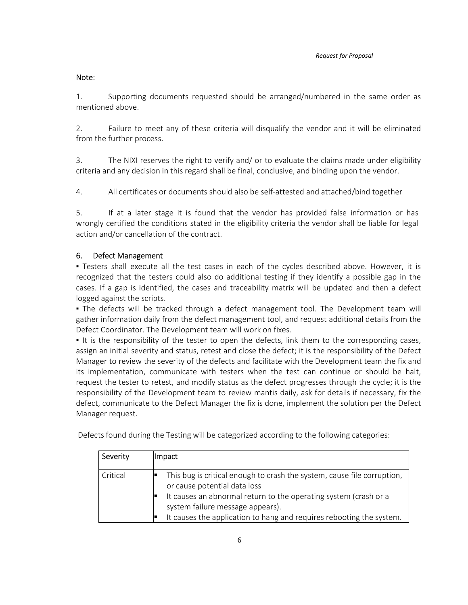#### Note:

1. Supporting documents requested should be arranged/numbered in the same order as mentioned above.

2. Failure to meet any of these criteria will disqualify the vendor and it will be eliminated from the further process.

3. The NIXI reserves the right to verify and/ or to evaluate the claims made under eligibility criteria and any decision in this regard shall be final, conclusive, and binding upon the vendor.

4. All certificates or documents should also be self-attested and attached/bind together

5. If at a later stage it is found that the vendor has provided false information or has wrongly certified the conditions stated in the eligibility criteria the vendor shall be liable for legal action and/or cancellation of the contract.

#### 6. Defect Management

▪ Testers shall execute all the test cases in each of the cycles described above. However, it is recognized that the testers could also do additional testing if they identify a possible gap in the cases. If a gap is identified, the cases and traceability matrix will be updated and then a defect logged against the scripts.

• The defects will be tracked through a defect management tool. The Development team will gather information daily from the defect management tool, and request additional details from the Defect Coordinator. The Development team will work on fixes.

It is the responsibility of the tester to open the defects, link them to the corresponding cases, assign an initial severity and status, retest and close the defect; it is the responsibility of the Defect Manager to review the severity of the defects and facilitate with the Development team the fix and its implementation, communicate with testers when the test can continue or should be halt, request the tester to retest, and modify status as the defect progresses through the cycle; it is the responsibility of the Development team to review mantis daily, ask for details if necessary, fix the defect, communicate to the Defect Manager the fix is done, implement the solution per the Defect Manager request.

| Defects found during the Testing will be categorized according to the following categories: |  |  |  |  |
|---------------------------------------------------------------------------------------------|--|--|--|--|
|---------------------------------------------------------------------------------------------|--|--|--|--|

| Severity | Impact                                                                                                                                                                                                                                                                                  |
|----------|-----------------------------------------------------------------------------------------------------------------------------------------------------------------------------------------------------------------------------------------------------------------------------------------|
| Critical | This bug is critical enough to crash the system, cause file corruption,<br>or cause potential data loss<br>It causes an abnormal return to the operating system (crash or a<br>system failure message appears).<br>It causes the application to hang and requires rebooting the system. |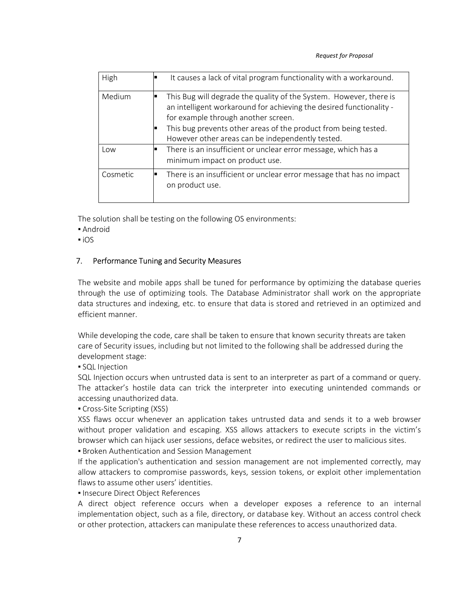| High     | It causes a lack of vital program functionality with a workaround.                                                                                                                                                                                                                                      |
|----------|---------------------------------------------------------------------------------------------------------------------------------------------------------------------------------------------------------------------------------------------------------------------------------------------------------|
| Medium   | This Bug will degrade the quality of the System. However, there is<br>an intelligent workaround for achieving the desired functionality -<br>for example through another screen.<br>This bug prevents other areas of the product from being tested.<br>However other areas can be independently tested. |
| Low      | There is an insufficient or unclear error message, which has a<br>minimum impact on product use.                                                                                                                                                                                                        |
| Cosmetic | There is an insufficient or unclear error message that has no impact<br>on product use.                                                                                                                                                                                                                 |

The solution shall be testing on the following OS environments:

- Android
- $\overline{\phantom{a}}$  iOS

#### 7. Performance Tuning and Security Measures

The website and mobile apps shall be tuned for performance by optimizing the database queries through the use of optimizing tools. The Database Administrator shall work on the appropriate data structures and indexing, etc. to ensure that data is stored and retrieved in an optimized and efficient manner.

While developing the code, care shall be taken to ensure that known security threats are taken care of Security issues, including but not limited to the following shall be addressed during the development stage:

**• SQL Injection** 

SQL Injection occurs when untrusted data is sent to an interpreter as part of a command or query. The attacker's hostile data can trick the interpreter into executing unintended commands or accessing unauthorized data.

• Cross-Site Scripting (XSS)

XSS flaws occur whenever an application takes untrusted data and sends it to a web browser without proper validation and escaping. XSS allows attackers to execute scripts in the victim's browser which can hijack user sessions, deface websites, or redirect the user to malicious sites.

**Broken Authentication and Session Management** 

If the application's authentication and session management are not implemented correctly, may allow attackers to compromise passwords, keys, session tokens, or exploit other implementation flaws to assume other users' identities.

**Insecure Direct Object References** 

A direct object reference occurs when a developer exposes a reference to an internal implementation object, such as a file, directory, or database key. Without an access control check or other protection, attackers can manipulate these references to access unauthorized data.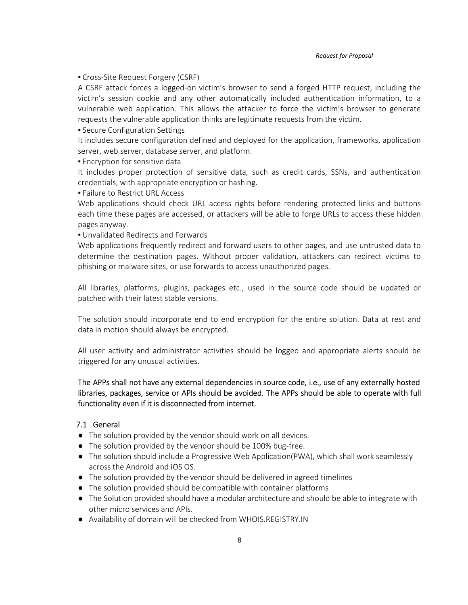**• Cross-Site Request Forgery (CSRF)** 

A CSRF attack forces a logged-on victim's browser to send a forged HTTP request, including the victim's session cookie and any other automatically included authentication information, to a vulnerable web application. This allows the attacker to force the victim's browser to generate requests the vulnerable application thinks are legitimate requests from the victim.

**• Secure Configuration Settings** 

It includes secure configuration defined and deployed for the application, frameworks, application server, web server, database server, and platform.

**Encryption for sensitive data** 

It includes proper protection of sensitive data, such as credit cards, SSNs, and authentication credentials, with appropriate encryption or hashing.

**Eailure to Restrict URL Access** 

Web applications should check URL access rights before rendering protected links and buttons each time these pages are accessed, or attackers will be able to forge URLs to access these hidden pages anyway.

**.** Unvalidated Redirects and Forwards

Web applications frequently redirect and forward users to other pages, and use untrusted data to determine the destination pages. Without proper validation, attackers can redirect victims to phishing or malware sites, or use forwards to access unauthorized pages.

All libraries, platforms, plugins, packages etc., used in the source code should be updated or patched with their latest stable versions.

The solution should incorporate end to end encryption for the entire solution. Data at rest and data in motion should always be encrypted.

All user activity and administrator activities should be logged and appropriate alerts should be triggered for any unusual activities.

The APPs shall not have any external dependencies in source code, i.e., use of any externally hosted libraries, packages, service or APIs should be avoided. The APPs should be able to operate with full functionality even if it is disconnected from internet.

#### 7.1 General

- The solution provided by the vendor should work on all devices.
- The solution provided by the vendor should be 100% bug-free.
- The solution should include a Progressive Web Application(PWA), which shall work seamlessly across the Android and iOS OS.
- The solution provided by the vendor should be delivered in agreed timelines
- The solution provided should be compatible with container platforms
- The Solution provided should have a modular architecture and should be able to integrate with other micro services and APIs.
- Availability of domain will be checked from WHOIS.REGISTRY.IN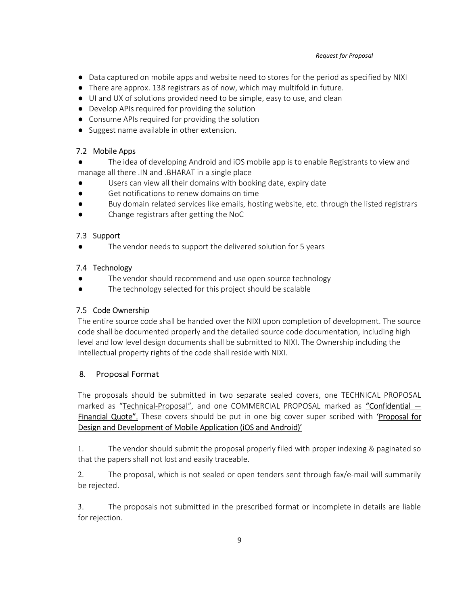- Data captured on mobile apps and website need to stores for the period as specified by NIXI
- There are approx. 138 registrars as of now, which may multifold in future.
- UI and UX of solutions provided need to be simple, easy to use, and clean
- Develop APIs required for providing the solution
- Consume APIs required for providing the solution
- Suggest name available in other extension.

## 7.2 Mobile Apps

- The idea of developing Android and iOS mobile app is to enable Registrants to view and manage all there .IN and .BHARAT in a single place
- Users can view all their domains with booking date, expiry date
- Get notifications to renew domains on time
- Buy domain related services like emails, hosting website, etc. through the listed registrars
- Change registrars after getting the NoC

## 7.3 Support

The vendor needs to support the delivered solution for 5 years

## 7.4 Technology

- The vendor should recommend and use open source technology
- The technology selected for this project should be scalable

# 7.5 Code Ownership

The entire source code shall be handed over the NIXI upon completion of development. The source code shall be documented properly and the detailed source code documentation, including high level and low level design documents shall be submitted to NIXI. The Ownership including the Intellectual property rights of the code shall reside with NIXI.

# 8. Proposal Format

The proposals should be submitted in two separate sealed covers, one TECHNICAL PROPOSAL marked as "Technical-Proposal", and one COMMERCIAL PROPOSAL marked as "Confidential -Financial Quote". These covers should be put in one big cover super scribed with 'Proposal for Design and Development of Mobile Application (iOS and Android)'

1. The vendor should submit the proposal properly filed with proper indexing & paginated so that the papers shall not lost and easily traceable.

2. The proposal, which is not sealed or open tenders sent through fax/e-mail will summarily be rejected.

3. The proposals not submitted in the prescribed format or incomplete in details are liable for rejection.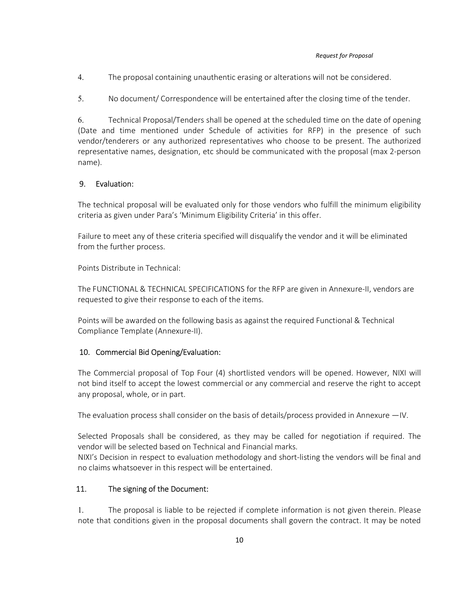4. The proposal containing unauthentic erasing or alterations will not be considered.

5. No document/ Correspondence will be entertained after the closing time of the tender.

6. Technical Proposal/Tenders shall be opened at the scheduled time on the date of opening (Date and time mentioned under Schedule of activities for RFP) in the presence of such vendor/tenderers or any authorized representatives who choose to be present. The authorized representative names, designation, etc should be communicated with the proposal (max 2-person name).

## 9. Evaluation:

The technical proposal will be evaluated only for those vendors who fulfill the minimum eligibility criteria as given under Para's 'Minimum Eligibility Criteria' in this offer.

Failure to meet any of these criteria specified will disqualify the vendor and it will be eliminated from the further process.

Points Distribute in Technical:

The FUNCTIONAL & TECHNICAL SPECIFICATIONS for the RFP are given in Annexure-II, vendors are requested to give their response to each of the items.

Points will be awarded on the following basis as against the required Functional & Technical Compliance Template (Annexure-II).

#### 10. Commercial Bid Opening/Evaluation:

The Commercial proposal of Top Four (4) shortlisted vendors will be opened. However, NIXI will not bind itself to accept the lowest commercial or any commercial and reserve the right to accept any proposal, whole, or in part.

The evaluation process shall consider on the basis of details/process provided in Annexure —IV.

Selected Proposals shall be considered, as they may be called for negotiation if required. The vendor will be selected based on Technical and Financial marks.

NIXI's Decision in respect to evaluation methodology and short-listing the vendors will be final and no claims whatsoever in this respect will be entertained.

## 11. The signing of the Document:

1. The proposal is liable to be rejected if complete information is not given therein. Please note that conditions given in the proposal documents shall govern the contract. It may be noted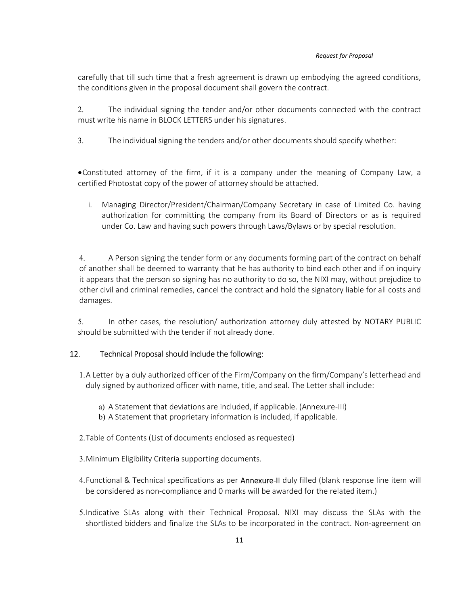carefully that till such time that a fresh agreement is drawn up embodying the agreed conditions, the conditions given in the proposal document shall govern the contract.

2. The individual signing the tender and/or other documents connected with the contract must write his name in BLOCK LETTERS under his signatures.

3. The individual signing the tenders and/or other documents should specify whether:

Constituted attorney of the firm, if it is a company under the meaning of Company Law, a certified Photostat copy of the power of attorney should be attached.

i. Managing Director/President/Chairman/Company Secretary in case of Limited Co. having authorization for committing the company from its Board of Directors or as is required under Co. Law and having such powers through Laws/Bylaws or by special resolution.

4. A Person signing the tender form or any documents forming part of the contract on behalf of another shall be deemed to warranty that he has authority to bind each other and if on inquiry it appears that the person so signing has no authority to do so, the NIXI may, without prejudice to other civil and criminal remedies, cancel the contract and hold the signatory liable for all costs and damages.

5. In other cases, the resolution/ authorization attorney duly attested by NOTARY PUBLIC should be submitted with the tender if not already done.

## 12. Technical Proposal should include the following:

1.A Letter by a duly authorized officer of the Firm/Company on the firm/Company's letterhead and duly signed by authorized officer with name, title, and seal. The Letter shall include:

- a) A Statement that deviations are included, if applicable. (Annexure-III)
- b) A Statement that proprietary information is included, if applicable.
- 2.Table of Contents (List of documents enclosed as requested)
- 3.Minimum Eligibility Criteria supporting documents.
- 4. Functional & Technical specifications as per Annexure-II duly filled (blank response line item will be considered as non-compliance and 0 marks will be awarded for the related item.)
- 5.Indicative SLAs along with their Technical Proposal. NIXI may discuss the SLAs with the shortlisted bidders and finalize the SLAs to be incorporated in the contract. Non-agreement on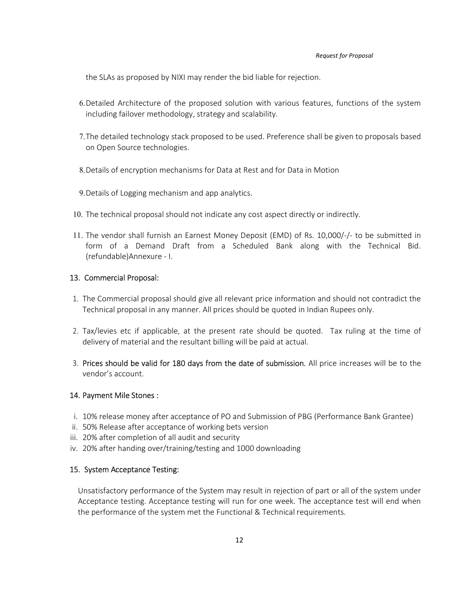the SLAs as proposed by NIXI may render the bid liable for rejection.

- 6.Detailed Architecture of the proposed solution with various features, functions of the system including failover methodology, strategy and scalability.
- 7.The detailed technology stack proposed to be used. Preference shall be given to proposals based on Open Source technologies.
- 8.Details of encryption mechanisms for Data at Rest and for Data in Motion
- 9.Details of Logging mechanism and app analytics.
- 10. The technical proposal should not indicate any cost aspect directly or indirectly.
- 11. The vendor shall furnish an Earnest Money Deposit (EMD) of Rs. 10,000/-/- to be submitted in form of a Demand Draft from a Scheduled Bank along with the Technical Bid. (refundable)Annexure - I.

#### 13. Commercial Proposal:

- 1. The Commercial proposal should give all relevant price information and should not contradict the Technical proposal in any manner. All prices should be quoted in Indian Rupees only.
- 2. Tax/levies etc if applicable, at the present rate should be quoted. Tax ruling at the time of delivery of material and the resultant billing will be paid at actual.
- 3. Prices should be valid for 180 days from the date of submission. All price increases will be to the vendor's account.

#### 14. Payment Mile Stones :

- i. 10% release money after acceptance of PO and Submission of PBG (Performance Bank Grantee)
- ii. 50% Release after acceptance of working bets version
- iii. 20% after completion of all audit and security
- iv. 20% after handing over/training/testing and 1000 downloading

#### 15. System Acceptance Testing:

Unsatisfactory performance of the System may result in rejection of part or all of the system under Acceptance testing. Acceptance testing will run for one week. The acceptance test will end when the performance of the system met the Functional & Technical requirements.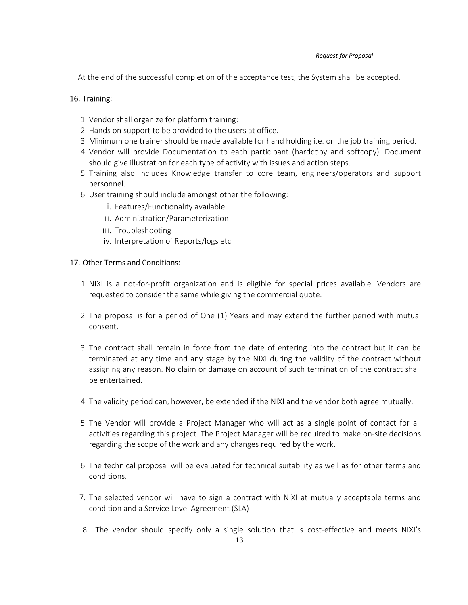At the end of the successful completion of the acceptance test, the System shall be accepted.

## 16. Training:

- 1. Vendor shall organize for platform training:
- 2. Hands on support to be provided to the users at office.
- 3. Minimum one trainer should be made available for hand holding i.e. on the job training period.
- 4. Vendor will provide Documentation to each participant (hardcopy and softcopy). Document should give illustration for each type of activity with issues and action steps.
- 5. Training also includes Knowledge transfer to core team, engineers/operators and support personnel.
- 6. User training should include amongst other the following:
	- i. Features/Functionality available
	- ii. Administration/Parameterization
	- iii. Troubleshooting
	- iv. Interpretation of Reports/logs etc

## 17. Other Terms and Conditions:

- 1. NIXI is a not-for-profit organization and is eligible for special prices available. Vendors are requested to consider the same while giving the commercial quote.
- 2. The proposal is for a period of One (1) Years and may extend the further period with mutual consent.
- 3. The contract shall remain in force from the date of entering into the contract but it can be terminated at any time and any stage by the NIXI during the validity of the contract without assigning any reason. No claim or damage on account of such termination of the contract shall be entertained.
- 4. The validity period can, however, be extended if the NIXI and the vendor both agree mutually.
- 5. The Vendor will provide a Project Manager who will act as a single point of contact for all activities regarding this project. The Project Manager will be required to make on-site decisions regarding the scope of the work and any changes required by the work.
- 6. The technical proposal will be evaluated for technical suitability as well as for other terms and conditions.
- 7. The selected vendor will have to sign a contract with NIXI at mutually acceptable terms and condition and a Service Level Agreement (SLA)
- 8. The vendor should specify only a single solution that is cost-effective and meets NIXI's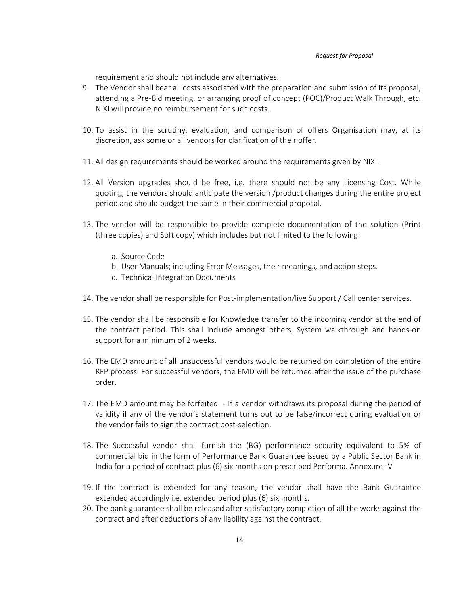requirement and should not include any alternatives.

- 9. The Vendor shall bear all costs associated with the preparation and submission of its proposal, attending a Pre-Bid meeting, or arranging proof of concept (POC)/Product Walk Through, etc. NIXI will provide no reimbursement for such costs.
- 10. To assist in the scrutiny, evaluation, and comparison of offers Organisation may, at its discretion, ask some or all vendors for clarification of their offer.
- 11. All design requirements should be worked around the requirements given by NIXI.
- 12. All Version upgrades should be free, i.e. there should not be any Licensing Cost. While quoting, the vendors should anticipate the version /product changes during the entire project period and should budget the same in their commercial proposal.
- 13. The vendor will be responsible to provide complete documentation of the solution (Print (three copies) and Soft copy) which includes but not limited to the following:
	- a. Source Code
	- b. User Manuals; including Error Messages, their meanings, and action steps.
	- c. Technical Integration Documents
- 14. The vendor shall be responsible for Post-implementation/live Support / Call center services.
- 15. The vendor shall be responsible for Knowledge transfer to the incoming vendor at the end of the contract period. This shall include amongst others, System walkthrough and hands-on support for a minimum of 2 weeks.
- 16. The EMD amount of all unsuccessful vendors would be returned on completion of the entire RFP process. For successful vendors, the EMD will be returned after the issue of the purchase order.
- 17. The EMD amount may be forfeited: If a vendor withdraws its proposal during the period of validity if any of the vendor's statement turns out to be false/incorrect during evaluation or the vendor fails to sign the contract post-selection.
- 18. The Successful vendor shall furnish the (BG) performance security equivalent to 5% of commercial bid in the form of Performance Bank Guarantee issued by a Public Sector Bank in India for a period of contract plus (6) six months on prescribed Performa. Annexure- V
- 19. If the contract is extended for any reason, the vendor shall have the Bank Guarantee extended accordingly i.e. extended period plus (6) six months.
- 20. The bank guarantee shall be released after satisfactory completion of all the works against the contract and after deductions of any liability against the contract.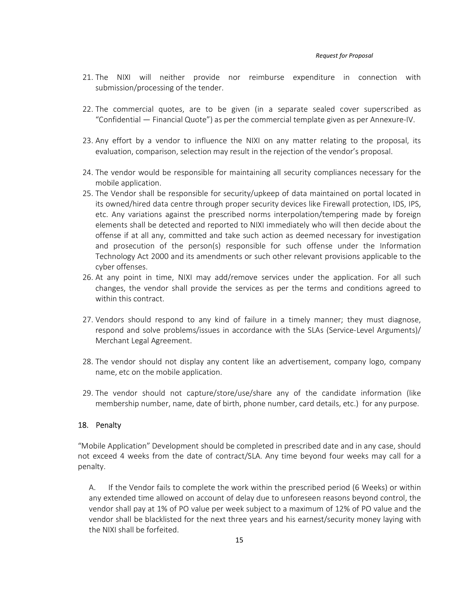- 21. The NIXI will neither provide nor reimburse expenditure in connection with submission/processing of the tender.
- 22. The commercial quotes, are to be given (in a separate sealed cover superscribed as "Confidential — Financial Quote") as per the commercial template given as per Annexure-IV.
- 23. Any effort by a vendor to influence the NIXI on any matter relating to the proposal, its evaluation, comparison, selection may result in the rejection of the vendor's proposal.
- 24. The vendor would be responsible for maintaining all security compliances necessary for the mobile application.
- 25. The Vendor shall be responsible for security/upkeep of data maintained on portal located in its owned/hired data centre through proper security devices like Firewall protection, IDS, IPS, etc. Any variations against the prescribed norms interpolation/tempering made by foreign elements shall be detected and reported to NIXI immediately who will then decide about the offense if at all any, committed and take such action as deemed necessary for investigation and prosecution of the person(s) responsible for such offense under the Information Technology Act 2000 and its amendments or such other relevant provisions applicable to the cyber offenses.
- 26. At any point in time, NIXI may add/remove services under the application. For all such changes, the vendor shall provide the services as per the terms and conditions agreed to within this contract.
- 27. Vendors should respond to any kind of failure in a timely manner; they must diagnose, respond and solve problems/issues in accordance with the SLAs (Service-Level Arguments)/ Merchant Legal Agreement.
- 28. The vendor should not display any content like an advertisement, company logo, company name, etc on the mobile application.
- 29. The vendor should not capture/store/use/share any of the candidate information (like membership number, name, date of birth, phone number, card details, etc.) for any purpose.

#### 18. Penalty

"Mobile Application" Development should be completed in prescribed date and in any case, should not exceed 4 weeks from the date of contract/SLA. Any time beyond four weeks may call for a penalty.

A. If the Vendor fails to complete the work within the prescribed period (6 Weeks) or within any extended time allowed on account of delay due to unforeseen reasons beyond control, the vendor shall pay at 1% of PO value per week subject to a maximum of 12% of PO value and the vendor shall be blacklisted for the next three years and his earnest/security money laying with the NIXI shall be forfeited.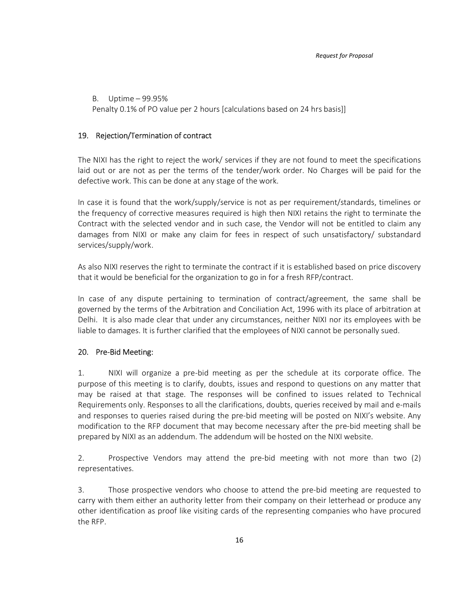B. Uptime – 99.95% Penalty 0.1% of PO value per 2 hours [calculations based on 24 hrs basis]]

#### 19. Rejection/Termination of contract

The NIXI has the right to reject the work/ services if they are not found to meet the specifications laid out or are not as per the terms of the tender/work order. No Charges will be paid for the defective work. This can be done at any stage of the work.

In case it is found that the work/supply/service is not as per requirement/standards, timelines or the frequency of corrective measures required is high then NIXI retains the right to terminate the Contract with the selected vendor and in such case, the Vendor will not be entitled to claim any damages from NIXI or make any claim for fees in respect of such unsatisfactory/ substandard services/supply/work.

As also NIXI reserves the right to terminate the contract if it is established based on price discovery that it would be beneficial for the organization to go in for a fresh RFP/contract.

In case of any dispute pertaining to termination of contract/agreement, the same shall be governed by the terms of the Arbitration and Conciliation Act, 1996 with its place of arbitration at Delhi. It is also made clear that under any circumstances, neither NIXI nor its employees with be liable to damages. It is further clarified that the employees of NIXI cannot be personally sued.

#### 20. Pre-Bid Meeting:

1. NIXI will organize a pre-bid meeting as per the schedule at its corporate office. The purpose of this meeting is to clarify, doubts, issues and respond to questions on any matter that may be raised at that stage. The responses will be confined to issues related to Technical Requirements only. Responses to all the clarifications, doubts, queries received by mail and e-mails and responses to queries raised during the pre-bid meeting will be posted on NIXI's website. Any modification to the RFP document that may become necessary after the pre-bid meeting shall be prepared by NIXI as an addendum. The addendum will be hosted on the NIXI website.

2. Prospective Vendors may attend the pre-bid meeting with not more than two (2) representatives.

3. Those prospective vendors who choose to attend the pre-bid meeting are requested to carry with them either an authority letter from their company on their letterhead or produce any other identification as proof like visiting cards of the representing companies who have procured the RFP.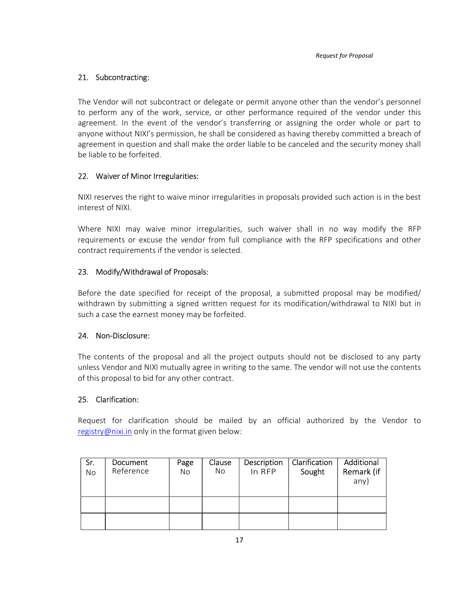## 21. Subcontracting:

The Vendor will not subcontract or delegate or permit anyone other than the vendor's personnel to perform any of the work, service, or other performance required of the vendor under this agreement. In the event of the vendor's transferring or assigning the order whole or part to anyone without NIXI's permission, he shall be considered as having thereby committed a breach of agreement in question and shall make the order liable to be canceled and the security money shall be liable to be forfeited.

## 22. Waiver of Minor Irregularities:

NIXI reserves the right to waive minor irregularities in proposals provided such action is in the best interest of NIXI.

Where NIXI may waive minor irregularities, such waiver shall in no way modify the RFP requirements or excuse the vendor from full compliance with the RFP specifications and other contract requirements if the vendor is selected.

## 23. Modify/Withdrawal of Proposals:

Before the date specified for receipt of the proposal, a submitted proposal may be modified/ withdrawn by submitting a signed written request for its modification/withdrawal to NIXI but in such a case the earnest money may be forfeited.

#### 24. Non-Disclosure:

The contents of the proposal and all the project outputs should not be disclosed to any party unless Vendor and NIXI mutually agree in writing to the same. The vendor will not use the contents of this proposal to bid for any other contract.

## 25. Clarification:

Request for clarification should be mailed by an official authorized by the Vendor to registry@nixi.in only in the format given below:

| Sr.<br>No. | Document<br>Reference | Page<br>No | Clause<br>No. | Description<br>In RFP | Clarification<br>Sought | Additional<br>Remark (if<br>any) |
|------------|-----------------------|------------|---------------|-----------------------|-------------------------|----------------------------------|
|            |                       |            |               |                       |                         |                                  |
|            |                       |            |               |                       |                         |                                  |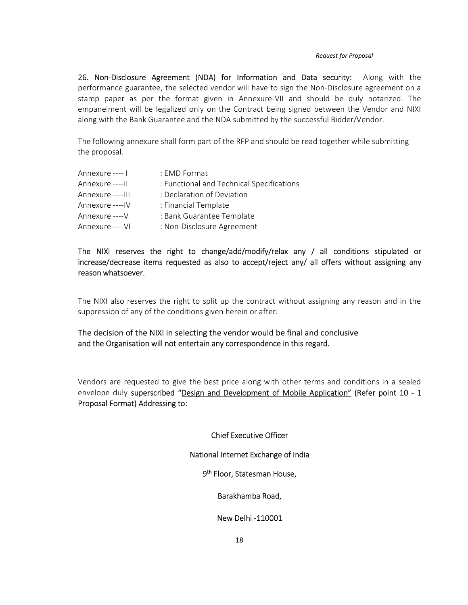26. Non-Disclosure Agreement (NDA) for Information and Data security: Along with the performance guarantee, the selected vendor will have to sign the Non-Disclosure agreement on a stamp paper as per the format given in Annexure-VII and should be duly notarized. The empanelment will be legalized only on the Contract being signed between the Vendor and NIXI along with the Bank Guarantee and the NDA submitted by the successful Bidder/Vendor.

The following annexure shall form part of the RFP and should be read together while submitting the proposal.

| Annexure ---- I   | : EMD Format                              |
|-------------------|-------------------------------------------|
| Annexure ---- II  | : Functional and Technical Specifications |
| Annexure ---- III | : Declaration of Deviation                |
| Annexure ----IV   | : Financial Template                      |
| Annexure ---- V   | : Bank Guarantee Template                 |
| Annexure ---- VI  | : Non-Disclosure Agreement                |

The NIXI reserves the right to change/add/modify/relax any / all conditions stipulated or increase/decrease items requested as also to accept/reject any/ all offers without assigning any reason whatsoever.

The NIXI also reserves the right to split up the contract without assigning any reason and in the suppression of any of the conditions given herein or after.

The decision of the NIXI in selecting the vendor would be final and conclusive and the Organisation will not entertain any correspondence in this regard.

Vendors are requested to give the best price along with other terms and conditions in a sealed envelope duly superscribed "Design and Development of Mobile Application" (Refer point 10 - 1 Proposal Format) Addressing to:

Chief Executive Officer

National Internet Exchange of India

9<sup>th</sup> Floor, Statesman House,

Barakhamba Road,

New Delhi -110001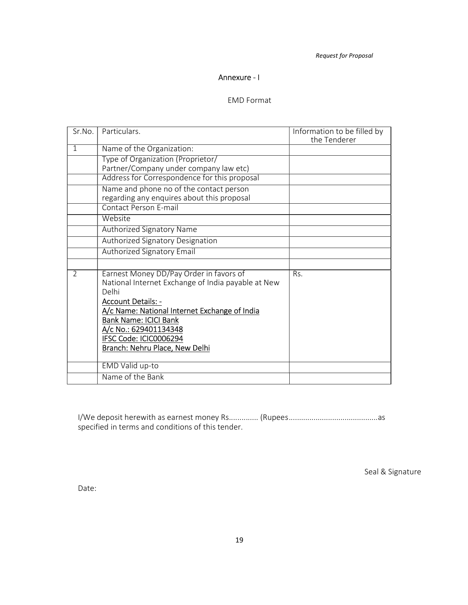### Annexure - I

### EMD Format

| Sr.No.        | Particulars.                                                                                                                                                                                                                                                                                              | Information to be filled by<br>the Tenderer |
|---------------|-----------------------------------------------------------------------------------------------------------------------------------------------------------------------------------------------------------------------------------------------------------------------------------------------------------|---------------------------------------------|
| $\mathbf{1}$  | Name of the Organization:                                                                                                                                                                                                                                                                                 |                                             |
|               | Type of Organization (Proprietor/<br>Partner/Company under company law etc)                                                                                                                                                                                                                               |                                             |
|               | Address for Correspondence for this proposal                                                                                                                                                                                                                                                              |                                             |
|               | Name and phone no of the contact person<br>regarding any enquires about this proposal                                                                                                                                                                                                                     |                                             |
|               | <b>Contact Person E-mail</b>                                                                                                                                                                                                                                                                              |                                             |
|               | Website                                                                                                                                                                                                                                                                                                   |                                             |
|               | Authorized Signatory Name                                                                                                                                                                                                                                                                                 |                                             |
|               | Authorized Signatory Designation                                                                                                                                                                                                                                                                          |                                             |
|               | Authorized Signatory Email                                                                                                                                                                                                                                                                                |                                             |
|               |                                                                                                                                                                                                                                                                                                           |                                             |
| $\mathcal{P}$ | Earnest Money DD/Pay Order in favors of<br>National Internet Exchange of India payable at New<br>Delhi<br><b>Account Details: -</b><br>A/c Name: National Internet Exchange of India<br><b>Bank Name: ICICI Bank</b><br>A/c No.: 629401134348<br>IFSC Code: ICIC0006294<br>Branch: Nehru Place, New Delhi | R <sub>S</sub>                              |
|               | EMD Valid up-to                                                                                                                                                                                                                                                                                           |                                             |
|               | Name of the Bank                                                                                                                                                                                                                                                                                          |                                             |

I/We deposit herewith as earnest money Rs.............. (Rupees ........................................... as specified in terms and conditions of this tender.

Seal & Signature

Date: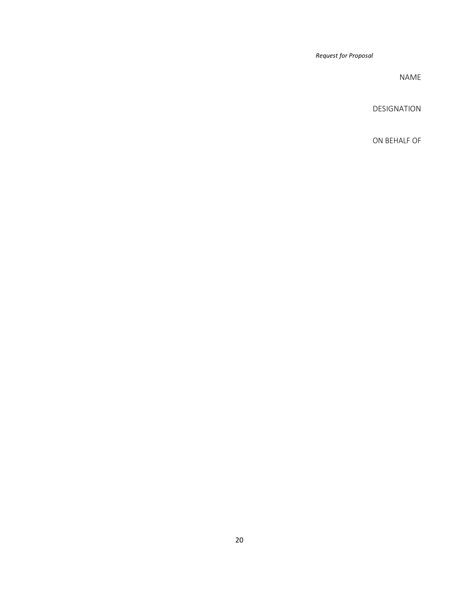NAME

DESIGNATION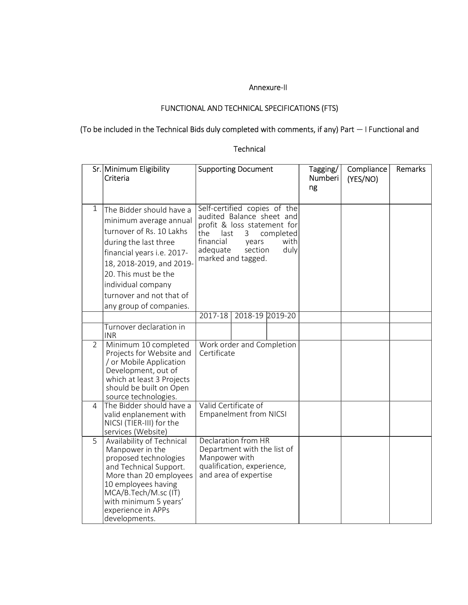#### Annexure-II

# FUNCTIONAL AND TECHNICAL SPECIFICATIONS (FTS)

# (To be included in the Technical Bids duly completed with comments, if any) Part — I Functional and

## Technical

|                | Sr. Minimum Eligibility<br>Criteria                                                                                                                                                                                                                                    |                                                                                                                                                                                                              | <b>Supporting Document</b> |  | Tagging/<br>Numberi<br>ng | Compliance<br>(YES/NO) | Remarks |
|----------------|------------------------------------------------------------------------------------------------------------------------------------------------------------------------------------------------------------------------------------------------------------------------|--------------------------------------------------------------------------------------------------------------------------------------------------------------------------------------------------------------|----------------------------|--|---------------------------|------------------------|---------|
| 1              | The Bidder should have a<br>minimum average annual<br>turnover of Rs. 10 Lakhs<br>during the last three<br>financial years i.e. 2017-<br>18, 2018-2019, and 2019-<br>20. This must be the<br>individual company<br>turnover and not that of<br>any group of companies. | Self-certified copies of the<br>audited Balance sheet and<br>profit & loss statement for<br>the<br>last<br>3<br>completed<br>financial<br>with<br>years<br>adequate<br>duly<br>section<br>marked and tagged. |                            |  |                           |                        |         |
|                |                                                                                                                                                                                                                                                                        | $2017-18$                                                                                                                                                                                                    | 2018-19 2019-20            |  |                           |                        |         |
|                | Turnover declaration in<br><b>INR</b>                                                                                                                                                                                                                                  |                                                                                                                                                                                                              |                            |  |                           |                        |         |
| $\overline{2}$ | Minimum 10 completed<br>Projects for Website and<br>/ or Mobile Application<br>Development, out of<br>which at least 3 Projects<br>should be built on Open<br>source technologies.                                                                                     | Work order and Completion<br>Certificate                                                                                                                                                                     |                            |  |                           |                        |         |
| 4              | The Bidder should have a<br>valid enplanement with<br>NICSI (TIER-III) for the<br>services (Website)                                                                                                                                                                   | Valid Certificate of<br><b>Empanelment from NICSI</b>                                                                                                                                                        |                            |  |                           |                        |         |
| $\overline{5}$ | Availability of Technical<br>Manpower in the<br>proposed technologies<br>and Technical Support.<br>More than 20 employees<br>10 employees having<br>MCA/B.Tech/M.sc (IT)<br>with minimum 5 years'<br>experience in APPs<br>developments.                               | Declaration from HR<br>Department with the list of<br>Manpower with<br>qualification, experience,<br>and area of expertise                                                                                   |                            |  |                           |                        |         |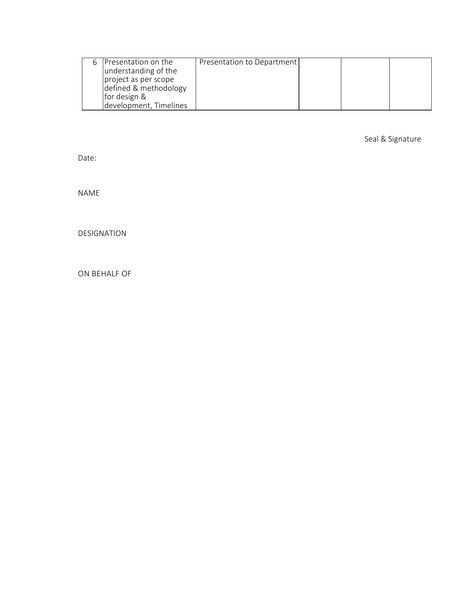| 6 Presentation on the<br>understanding of the<br>project as per scope<br>defined & methodology<br>for design & | Presentation to Department |  |  |
|----------------------------------------------------------------------------------------------------------------|----------------------------|--|--|
| development, Timelines                                                                                         |                            |  |  |

Seal & Signature

Date:

NAME

DESIGNATION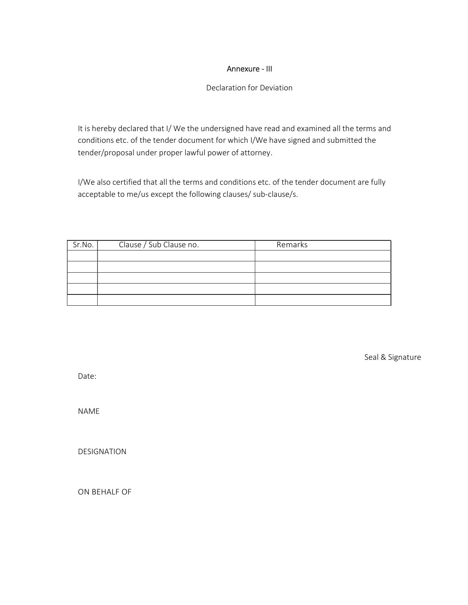## Annexure - III

Declaration for Deviation

It is hereby declared that I/ We the undersigned have read and examined all the terms and conditions etc. of the tender document for which I/We have signed and submitted the tender/proposal under proper lawful power of attorney.

I/We also certified that all the terms and conditions etc. of the tender document are fully acceptable to me/us except the following clauses/ sub-clause/s.

| Sr.No. | Clause / Sub Clause no. | Remarks |
|--------|-------------------------|---------|
|        |                         |         |
|        |                         |         |
|        |                         |         |
|        |                         |         |
|        |                         |         |

Seal & Signature

Date:

NAME

DESIGNATION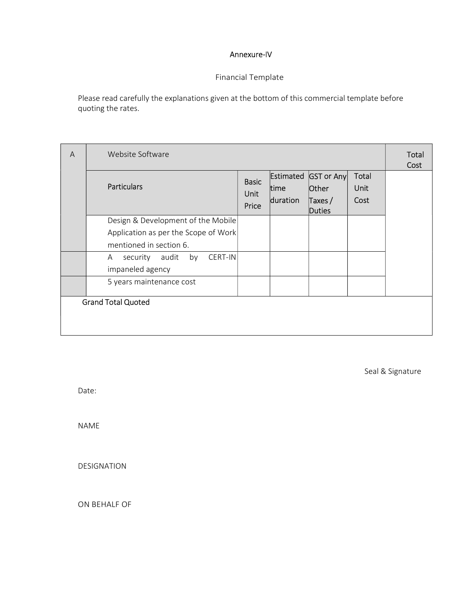## Annexure-IV

# Financial Template

Please read carefully the explanations given at the bottom of this commercial template before quoting the rates.

| A | Website Software                                            |  |                   |                     |               | Total<br>Cost |
|---|-------------------------------------------------------------|--|-------------------|---------------------|---------------|---------------|
|   | <b>Particulars</b>                                          |  | Estimated<br>time | GST or Any<br>Other | Total<br>Unit |               |
|   |                                                             |  | duration          | Taxes $/$<br>Duties | Cost          |               |
|   | Design & Development of the Mobile                          |  |                   |                     |               |               |
|   | Application as per the Scope of Work                        |  |                   |                     |               |               |
|   | mentioned in section 6.                                     |  |                   |                     |               |               |
|   | audit<br>by<br>CERT-IN<br>security<br>A<br>impaneled agency |  |                   |                     |               |               |
|   | 5 years maintenance cost                                    |  |                   |                     |               |               |
|   | <b>Grand Total Quoted</b>                                   |  |                   |                     |               |               |

Seal & Signature

Date:

NAME

DESIGNATION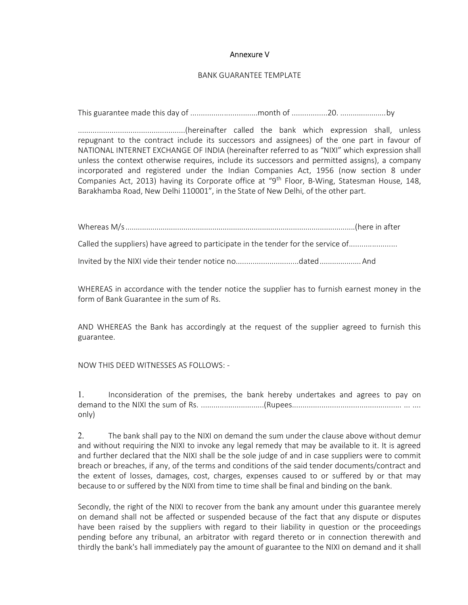#### Annexure V

#### BANK GUARANTEE TEMPLATE

This guarantee made this day of ................................month of .................20. ...................... by

...................................................(hereinafter called the bank which expression shall, unless repugnant to the contract include its successors and assignees) of the one part in favour of NATIONAL INTERNET EXCHANGE OF INDIA (hereinafter referred to as "NIXI" which expression shall unless the context otherwise requires, include its successors and permitted assigns), a company incorporated and registered under the Indian Companies Act, 1956 (now section 8 under Companies Act, 2013) having its Corporate office at "9<sup>th</sup> Floor, B-Wing, Statesman House, 148, Barakhamba Road, New Delhi 110001", in the State of New Delhi, of the other part.

Whereas M/s ...............................................................................................................(here in after Called the suppliers) have agreed to participate in the tender for the service of......................

Invited by the NIXI vide their tender notice no..............................dated .................... And

WHEREAS in accordance with the tender notice the supplier has to furnish earnest money in the form of Bank Guarantee in the sum of Rs.

AND WHEREAS the Bank has accordingly at the request of the supplier agreed to furnish this guarantee.

NOW THIS DEED WITNESSES AS FOLLOWS: -

1. Inconsideration of the premises, the bank hereby undertakes and agrees to pay on demand to the NIXI the sum of Rs. ..............................(Rupees.................................................... ... .... only)

2. The bank shall pay to the NIXI on demand the sum under the clause above without demur and without requiring the NIXI to invoke any legal remedy that may be available to it. It is agreed and further declared that the NIXI shall be the sole judge of and in case suppliers were to commit breach or breaches, if any, of the terms and conditions of the said tender documents/contract and the extent of losses, damages, cost, charges, expenses caused to or suffered by or that may because to or suffered by the NIXI from time to time shall be final and binding on the bank.

Secondly, the right of the NIXI to recover from the bank any amount under this guarantee merely on demand shall not be affected or suspended because of the fact that any dispute or disputes have been raised by the suppliers with regard to their liability in question or the proceedings pending before any tribunal, an arbitrator with regard thereto or in connection therewith and thirdly the bank's hall immediately pay the amount of guarantee to the NIXI on demand and it shall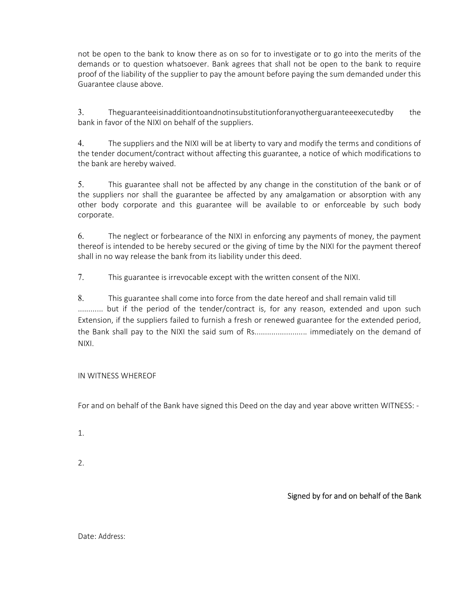not be open to the bank to know there as on so for to investigate or to go into the merits of the demands or to question whatsoever. Bank agrees that shall not be open to the bank to require proof of the liability of the supplier to pay the amount before paying the sum demanded under this Guarantee clause above.

3. Theguaranteeisinadditiontoandnotinsubstitutionforanyotherguaranteeexecutedby the bank in favor of the NIXI on behalf of the suppliers.

4. The suppliers and the NIXI will be at liberty to vary and modify the terms and conditions of the tender document/contract without affecting this guarantee, a notice of which modifications to the bank are hereby waived.

5. This guarantee shall not be affected by any change in the constitution of the bank or of the suppliers nor shall the guarantee be affected by any amalgamation or absorption with any other body corporate and this guarantee will be available to or enforceable by such body corporate.

6. The neglect or forbearance of the NIXI in enforcing any payments of money, the payment thereof is intended to be hereby secured or the giving of time by the NIXI for the payment thereof shall in no way release the bank from its liability under this deed.

7. This guarantee is irrevocable except with the written consent of the NIXI.

8. This guarantee shall come into force from the date hereof and shall remain valid till ............. but if the period of the tender/contract is, for any reason, extended and upon such Extension, if the suppliers failed to furnish a fresh or renewed guarantee for the extended period, the Bank shall pay to the NIXI the said sum of Rs......................... immediately on the demand of NIXI.

## IN WITNESS WHEREOF

For and on behalf of the Bank have signed this Deed on the day and year above written WITNESS: -

1.

2.

Signed by for and on behalf of the Bank

Date: Address: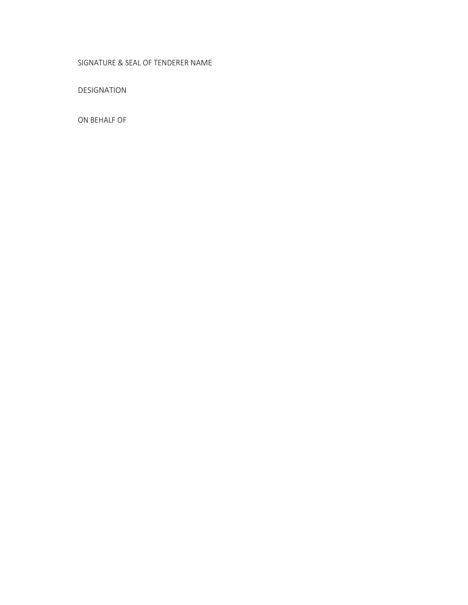## SIGNATURE & SEAL OF TENDERER NAME

DESIGNATION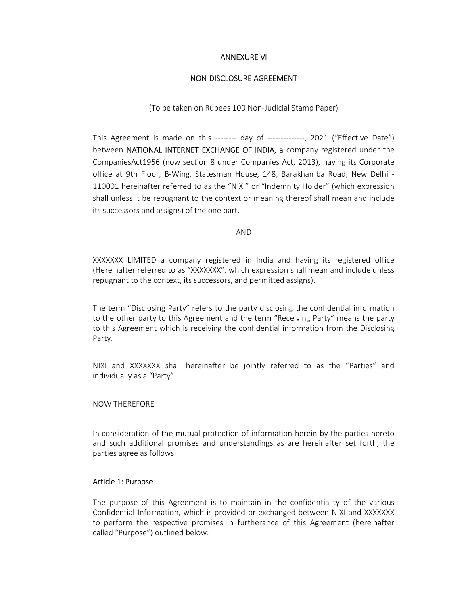#### ANNEXURE VI

#### NON-DISCLOSURE AGREEMENT

(To be taken on Rupees 100 Non-Judicial Stamp Paper)

This Agreement is made on this -------- day of --------------, 2021 ("Effective Date") between NATIONAL INTERNET EXCHANGE OF INDIA, a company registered under the CompaniesAct1956 (now section 8 under Companies Act, 2013), having its Corporate office at 9th Floor, B-Wing, Statesman House, 148, Barakhamba Road, New Delhi - 110001 hereinafter referred to as the "NIXI" or "Indemnity Holder" (which expression shall unless it be repugnant to the context or meaning thereof shall mean and include its successors and assigns) of the one part.

AND

XXXXXXX LIMITED a company registered in India and having its registered office (Hereinafter referred to as "XXXXXXX", which expression shall mean and include unless repugnant to the context, its successors, and permitted assigns).

The term "Disclosing Party" refers to the party disclosing the confidential information to the other party to this Agreement and the term "Receiving Party" means the party to this Agreement which is receiving the confidential information from the Disclosing Party.

NIXI and XXXXXXX shall hereinafter be jointly referred to as the "Parties" and individually as a "Party".

#### NOW THEREFORE

In consideration of the mutual protection of information herein by the parties hereto and such additional promises and understandings as are hereinafter set forth, the parties agree as follows:

#### Article 1: Purpose

The purpose of this Agreement is to maintain in the confidentiality of the various Confidential Information, which is provided or exchanged between NIXI and XXXXXXX to perform the respective promises in furtherance of this Agreement (hereinafter called "Purpose") outlined below: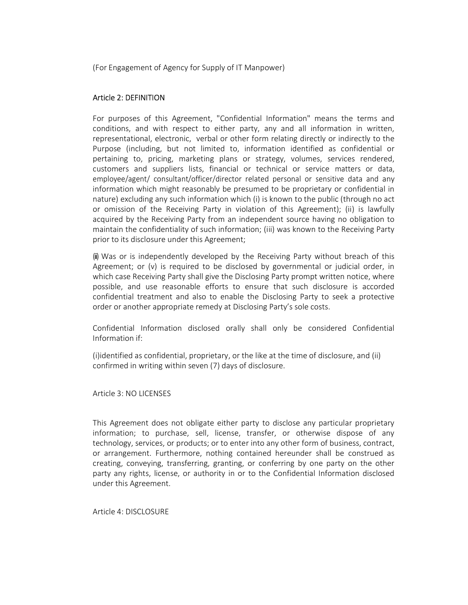(For Engagement of Agency for Supply of IT Manpower)

#### Article 2: DEFINITION

For purposes of this Agreement, "Confidential Information" means the terms and conditions, and with respect to either party, any and all information in written, representational, electronic, verbal or other form relating directly or indirectly to the Purpose (including, but not limited to, information identified as confidential or pertaining to, pricing, marketing plans or strategy, volumes, services rendered, customers and suppliers lists, financial or technical or service matters or data, employee/agent/ consultant/officer/director related personal or sensitive data and any information which might reasonably be presumed to be proprietary or confidential in nature) excluding any such information which (i) is known to the public (through no act or omission of the Receiving Party in violation of this Agreement); (ii) is lawfully acquired by the Receiving Party from an independent source having no obligation to maintain the confidentiality of such information; (iii) was known to the Receiving Party prior to its disclosure under this Agreement;

(iii) Was or is independently developed by the Receiving Party without breach of this Agreement; or (v) is required to be disclosed by governmental or judicial order, in which case Receiving Party shall give the Disclosing Party prompt written notice, where possible, and use reasonable efforts to ensure that such disclosure is accorded confidential treatment and also to enable the Disclosing Party to seek a protective order or another appropriate remedy at Disclosing Party's sole costs.

Confidential Information disclosed orally shall only be considered Confidential Information if:

(i)identified as confidential, proprietary, or the like at the time of disclosure, and (ii) confirmed in writing within seven (7) days of disclosure.

Article 3: NO LICENSES

This Agreement does not obligate either party to disclose any particular proprietary information; to purchase, sell, license, transfer, or otherwise dispose of any technology, services, or products; or to enter into any other form of business, contract, or arrangement. Furthermore, nothing contained hereunder shall be construed as creating, conveying, transferring, granting, or conferring by one party on the other party any rights, license, or authority in or to the Confidential Information disclosed under this Agreement.

Article 4: DISCLOSURE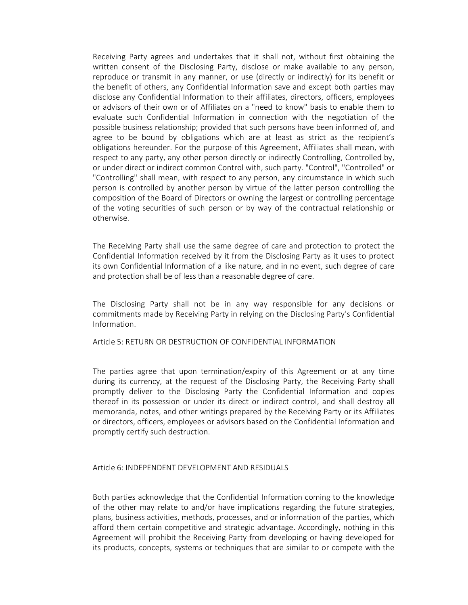Receiving Party agrees and undertakes that it shall not, without first obtaining the written consent of the Disclosing Party, disclose or make available to any person, reproduce or transmit in any manner, or use (directly or indirectly) for its benefit or the benefit of others, any Confidential Information save and except both parties may disclose any Confidential Information to their affiliates, directors, officers, employees or advisors of their own or of Affiliates on a "need to know" basis to enable them to evaluate such Confidential Information in connection with the negotiation of the possible business relationship; provided that such persons have been informed of, and agree to be bound by obligations which are at least as strict as the recipient's obligations hereunder. For the purpose of this Agreement, Affiliates shall mean, with respect to any party, any other person directly or indirectly Controlling, Controlled by, or under direct or indirect common Control with, such party. "Control", "Controlled" or "Controlling" shall mean, with respect to any person, any circumstance in which such person is controlled by another person by virtue of the latter person controlling the composition of the Board of Directors or owning the largest or controlling percentage of the voting securities of such person or by way of the contractual relationship or otherwise.

The Receiving Party shall use the same degree of care and protection to protect the Confidential Information received by it from the Disclosing Party as it uses to protect its own Confidential Information of a like nature, and in no event, such degree of care and protection shall be of less than a reasonable degree of care.

The Disclosing Party shall not be in any way responsible for any decisions or commitments made by Receiving Party in relying on the Disclosing Party's Confidential Information.

Article 5: RETURN OR DESTRUCTION OF CONFIDENTIAL INFORMATION

The parties agree that upon termination/expiry of this Agreement or at any time during its currency, at the request of the Disclosing Party, the Receiving Party shall promptly deliver to the Disclosing Party the Confidential Information and copies thereof in its possession or under its direct or indirect control, and shall destroy all memoranda, notes, and other writings prepared by the Receiving Party or its Affiliates or directors, officers, employees or advisors based on the Confidential Information and promptly certify such destruction.

#### Article 6: INDEPENDENT DEVELOPMENT AND RESIDUALS

Both parties acknowledge that the Confidential Information coming to the knowledge of the other may relate to and/or have implications regarding the future strategies, plans, business activities, methods, processes, and or information of the parties, which afford them certain competitive and strategic advantage. Accordingly, nothing in this Agreement will prohibit the Receiving Party from developing or having developed for its products, concepts, systems or techniques that are similar to or compete with the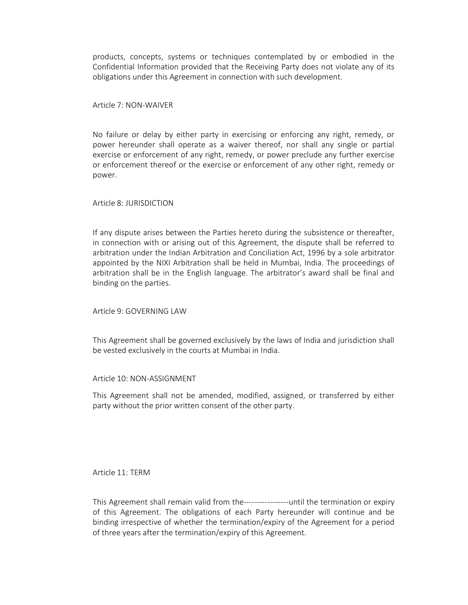products, concepts, systems or techniques contemplated by or embodied in the Confidential Information provided that the Receiving Party does not violate any of its obligations under this Agreement in connection with such development.

Article 7: NON-WAIVER

No failure or delay by either party in exercising or enforcing any right, remedy, or power hereunder shall operate as a waiver thereof, nor shall any single or partial exercise or enforcement of any right, remedy, or power preclude any further exercise or enforcement thereof or the exercise or enforcement of any other right, remedy or power.

Article 8: JURISDICTION

If any dispute arises between the Parties hereto during the subsistence or thereafter, in connection with or arising out of this Agreement, the dispute shall be referred to arbitration under the Indian Arbitration and Conciliation Act, 1996 by a sole arbitrator appointed by the NIXI Arbitration shall be held in Mumbai, India. The proceedings of arbitration shall be in the English language. The arbitrator's award shall be final and binding on the parties.

Article 9: GOVERNING LAW

This Agreement shall be governed exclusively by the laws of India and jurisdiction shall be vested exclusively in the courts at Mumbai in India.

Article 10: NON-ASSIGNMENT

This Agreement shall not be amended, modified, assigned, or transferred by either party without the prior written consent of the other party.

Article 11: TERM

This Agreement shall remain valid from the-----------------until the termination or expiry of this Agreement. The obligations of each Party hereunder will continue and be binding irrespective of whether the termination/expiry of the Agreement for a period of three years after the termination/expiry of this Agreement.